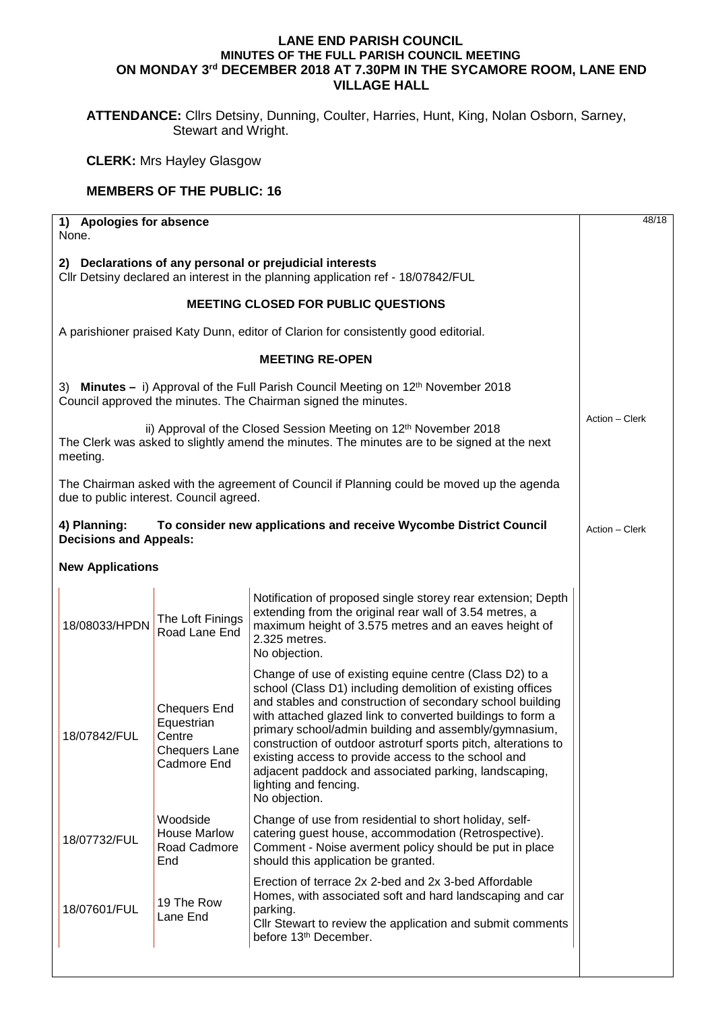## **LANE END PARISH COUNCIL MINUTES OF THE FULL PARISH COUNCIL MEETING ON MONDAY 3rd DECEMBER 2018 AT 7.30PM IN THE SYCAMORE ROOM, LANE END VILLAGE HALL**

**ATTENDANCE:** Cllrs Detsiny, Dunning, Coulter, Harries, Hunt, King, Nolan Osborn, Sarney, Stewart and Wright.

**CLERK:** Mrs Hayley Glasgow

## **MEMBERS OF THE PUBLIC: 16**

| 1) Apologies for absence<br>None.                                                                                                                                                       |                                                                                                                                                                                                                                                                                                                                                                                                                                                                                                                                       |  |
|-----------------------------------------------------------------------------------------------------------------------------------------------------------------------------------------|---------------------------------------------------------------------------------------------------------------------------------------------------------------------------------------------------------------------------------------------------------------------------------------------------------------------------------------------------------------------------------------------------------------------------------------------------------------------------------------------------------------------------------------|--|
| 2) Declarations of any personal or prejudicial interests<br>Cllr Detsiny declared an interest in the planning application ref - 18/07842/FUL                                            |                                                                                                                                                                                                                                                                                                                                                                                                                                                                                                                                       |  |
| <b>MEETING CLOSED FOR PUBLIC QUESTIONS</b>                                                                                                                                              |                                                                                                                                                                                                                                                                                                                                                                                                                                                                                                                                       |  |
| A parishioner praised Katy Dunn, editor of Clarion for consistently good editorial.                                                                                                     |                                                                                                                                                                                                                                                                                                                                                                                                                                                                                                                                       |  |
|                                                                                                                                                                                         | <b>MEETING RE-OPEN</b>                                                                                                                                                                                                                                                                                                                                                                                                                                                                                                                |  |
| 3) Minutes - i) Approval of the Full Parish Council Meeting on 12 <sup>th</sup> November 2018<br>Council approved the minutes. The Chairman signed the minutes.                         |                                                                                                                                                                                                                                                                                                                                                                                                                                                                                                                                       |  |
| ii) Approval of the Closed Session Meeting on 12 <sup>th</sup> November 2018<br>The Clerk was asked to slightly amend the minutes. The minutes are to be signed at the next<br>meeting. |                                                                                                                                                                                                                                                                                                                                                                                                                                                                                                                                       |  |
| The Chairman asked with the agreement of Council if Planning could be moved up the agenda<br>due to public interest. Council agreed.                                                    |                                                                                                                                                                                                                                                                                                                                                                                                                                                                                                                                       |  |
| 4) Planning:<br>To consider new applications and receive Wycombe District Council<br><b>Decisions and Appeals:</b>                                                                      |                                                                                                                                                                                                                                                                                                                                                                                                                                                                                                                                       |  |
| <b>New Applications</b>                                                                                                                                                                 |                                                                                                                                                                                                                                                                                                                                                                                                                                                                                                                                       |  |
| The Loft Finings<br>18/08033/HPDN<br>Road Lane End                                                                                                                                      | Notification of proposed single storey rear extension; Depth<br>extending from the original rear wall of 3.54 metres, a<br>maximum height of 3.575 metres and an eaves height of<br>2.325 metres.<br>No objection.                                                                                                                                                                                                                                                                                                                    |  |
| <b>Chequers End</b><br>Equestrian<br>18/07842/FUL<br>Centre<br><b>Chequers Lane</b><br>Cadmore End                                                                                      | Change of use of existing equine centre (Class D2) to a<br>school (Class D1) including demolition of existing offices<br>and stables and construction of secondary school building<br>with attached glazed link to converted buildings to form a<br>primary school/admin building and assembly/gymnasium,<br>construction of outdoor astroturf sports pitch, alterations to<br>existing access to provide access to the school and<br>adjacent paddock and associated parking, landscaping,<br>lighting and fencing.<br>No objection. |  |
| Woodside<br><b>House Marlow</b><br>18/07732/FUL<br>Road Cadmore<br>End                                                                                                                  | Change of use from residential to short holiday, self-<br>catering guest house, accommodation (Retrospective).<br>Comment - Noise averment policy should be put in place<br>should this application be granted.                                                                                                                                                                                                                                                                                                                       |  |
| 19 The Row<br>18/07601/FUL<br>Lane End                                                                                                                                                  | Erection of terrace 2x 2-bed and 2x 3-bed Affordable<br>Homes, with associated soft and hard landscaping and car<br>parking.<br>Cllr Stewart to review the application and submit comments<br>before 13th December.                                                                                                                                                                                                                                                                                                                   |  |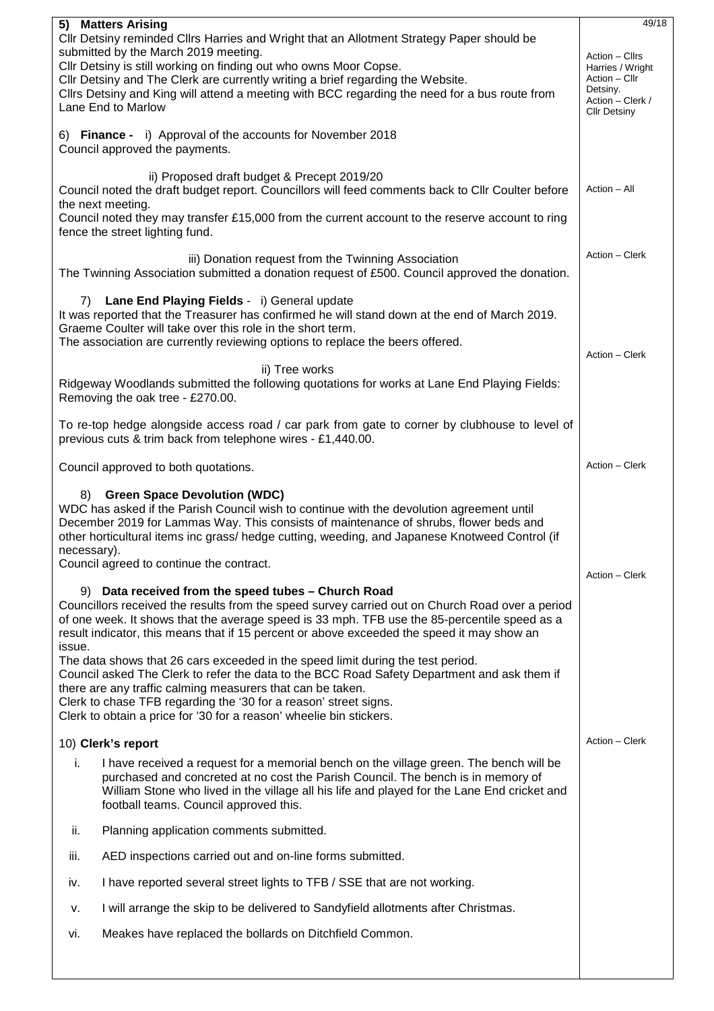| 5) Matters Arising                                                                                                                                                                | 49/18                                   |  |
|-----------------------------------------------------------------------------------------------------------------------------------------------------------------------------------|-----------------------------------------|--|
| Cllr Detsiny reminded Cllrs Harries and Wright that an Allotment Strategy Paper should be<br>submitted by the March 2019 meeting.                                                 |                                         |  |
| Cllr Detsiny is still working on finding out who owns Moor Copse.                                                                                                                 |                                         |  |
| Cllr Detsiny and The Clerk are currently writing a brief regarding the Website.<br>Cllrs Detsiny and King will attend a meeting with BCC regarding the need for a bus route from  |                                         |  |
| Lane End to Marlow                                                                                                                                                                | Action - Clerk /<br><b>Cllr Detsiny</b> |  |
| 6) Finance - i) Approval of the accounts for November 2018                                                                                                                        |                                         |  |
| Council approved the payments.                                                                                                                                                    |                                         |  |
| ii) Proposed draft budget & Precept 2019/20                                                                                                                                       |                                         |  |
| Council noted the draft budget report. Councillors will feed comments back to Cllr Coulter before                                                                                 |                                         |  |
| the next meeting.<br>Council noted they may transfer £15,000 from the current account to the reserve account to ring                                                              |                                         |  |
| fence the street lighting fund.                                                                                                                                                   |                                         |  |
| iii) Donation request from the Twinning Association                                                                                                                               | Action – Clerk                          |  |
| The Twinning Association submitted a donation request of £500. Council approved the donation.                                                                                     |                                         |  |
| Lane End Playing Fields - i) General update<br>7)                                                                                                                                 |                                         |  |
| It was reported that the Treasurer has confirmed he will stand down at the end of March 2019.<br>Graeme Coulter will take over this role in the short term.                       |                                         |  |
| The association are currently reviewing options to replace the beers offered.                                                                                                     |                                         |  |
| ii) Tree works                                                                                                                                                                    | Action - Clerk                          |  |
| Ridgeway Woodlands submitted the following quotations for works at Lane End Playing Fields:                                                                                       |                                         |  |
| Removing the oak tree - £270.00.                                                                                                                                                  |                                         |  |
| To re-top hedge alongside access road / car park from gate to corner by clubhouse to level of                                                                                     |                                         |  |
| previous cuts & trim back from telephone wires - £1,440.00.                                                                                                                       |                                         |  |
| Council approved to both quotations.                                                                                                                                              |                                         |  |
| <b>Green Space Devolution (WDC)</b><br>8)                                                                                                                                         |                                         |  |
| WDC has asked if the Parish Council wish to continue with the devolution agreement until<br>December 2019 for Lammas Way. This consists of maintenance of shrubs, flower beds and |                                         |  |
| other horticultural items inc grass/ hedge cutting, weeding, and Japanese Knotweed Control (if                                                                                    |                                         |  |
| necessary).<br>Council agreed to continue the contract.                                                                                                                           |                                         |  |
|                                                                                                                                                                                   |                                         |  |
| 9) Data received from the speed tubes - Church Road<br>Councillors received the results from the speed survey carried out on Church Road over a period                            |                                         |  |
| of one week. It shows that the average speed is 33 mph. TFB use the 85-percentile speed as a                                                                                      |                                         |  |
| result indicator, this means that if 15 percent or above exceeded the speed it may show an<br>issue.                                                                              |                                         |  |
| The data shows that 26 cars exceeded in the speed limit during the test period.<br>Council asked The Clerk to refer the data to the BCC Road Safety Department and ask them if    |                                         |  |
| there are any traffic calming measurers that can be taken.                                                                                                                        |                                         |  |
| Clerk to chase TFB regarding the '30 for a reason' street signs.<br>Clerk to obtain a price for '30 for a reason' wheelie bin stickers.                                           |                                         |  |
|                                                                                                                                                                                   | Action - Clerk                          |  |
| 10) Clerk's report                                                                                                                                                                |                                         |  |
| I have received a request for a memorial bench on the village green. The bench will be<br>i.<br>purchased and concreted at no cost the Parish Council. The bench is in memory of  |                                         |  |
| William Stone who lived in the village all his life and played for the Lane End cricket and<br>football teams. Council approved this.                                             |                                         |  |
| ii.<br>Planning application comments submitted.                                                                                                                                   |                                         |  |
| AED inspections carried out and on-line forms submitted.<br>iii.                                                                                                                  |                                         |  |
| I have reported several street lights to TFB / SSE that are not working.<br>iv.                                                                                                   |                                         |  |
| I will arrange the skip to be delivered to Sandyfield allotments after Christmas.<br>v.                                                                                           |                                         |  |
| Meakes have replaced the bollards on Ditchfield Common.<br>vi.                                                                                                                    |                                         |  |
|                                                                                                                                                                                   |                                         |  |